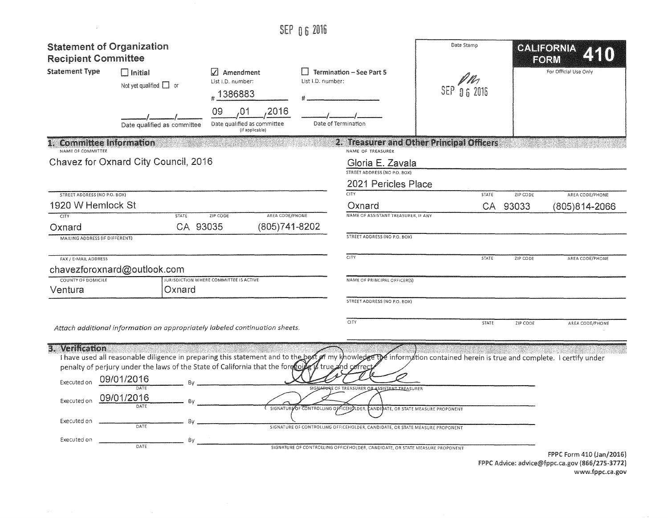|                                                                             |                                                                                                                                                                                                                                                                                                                                                         |                                                                     | SEP 06 2016                       |                                                                                                                                                                                                                                                                                                |                                           |                          |                           |
|-----------------------------------------------------------------------------|---------------------------------------------------------------------------------------------------------------------------------------------------------------------------------------------------------------------------------------------------------------------------------------------------------------------------------------------------------|---------------------------------------------------------------------|-----------------------------------|------------------------------------------------------------------------------------------------------------------------------------------------------------------------------------------------------------------------------------------------------------------------------------------------|-------------------------------------------|--------------------------|---------------------------|
| <b>Recipient Committee</b>                                                  | <b>Statement of Organization</b>                                                                                                                                                                                                                                                                                                                        |                                                                     |                                   |                                                                                                                                                                                                                                                                                                | Date Stamp                                |                          | CALIFORNIA<br><b>EORM</b> |
| <b>Statement Type</b>                                                       | $\Box$ Initial<br>Not yet qualified $\Box$ or                                                                                                                                                                                                                                                                                                           | Amendment<br>List I.D. number:<br>#1386883                          | List I.D. number:                 | <b>Termination - See Part 5</b>                                                                                                                                                                                                                                                                | SEP<br>$06$ 2016                          |                          | For Official Use Only     |
|                                                                             | Date qualified as committee                                                                                                                                                                                                                                                                                                                             | 2016<br>09<br>,01<br>Date qualified as committee<br>(if applicable) |                                   | Date of Termination                                                                                                                                                                                                                                                                            |                                           |                          |                           |
| <b>Committee Information</b><br>NAME OF COMMITTEE                           |                                                                                                                                                                                                                                                                                                                                                         |                                                                     |                                   | NAME OF TREASURER                                                                                                                                                                                                                                                                              | 2. Treasurer and Other Principal Officers |                          |                           |
|                                                                             | Chavez for Oxnard City Council, 2016                                                                                                                                                                                                                                                                                                                    |                                                                     |                                   | Gloria E. Zavala<br>STREET ADDRESS (NO P.O. BOX)<br>2021 Pericles Place                                                                                                                                                                                                                        |                                           |                          |                           |
| STREET ADDRESS (NO P.O. BOX)                                                |                                                                                                                                                                                                                                                                                                                                                         |                                                                     |                                   | CTY                                                                                                                                                                                                                                                                                            |                                           | <b>STATE</b><br>ZIP CODE | AREA CODE/PHONE           |
| 1920 W Hemlock St                                                           |                                                                                                                                                                                                                                                                                                                                                         |                                                                     |                                   | Oxnard                                                                                                                                                                                                                                                                                         |                                           | CA<br>93033              | (805)814-2066             |
| CITY<br>Oxnard                                                              | <b>STATE</b><br>CA 93035                                                                                                                                                                                                                                                                                                                                | ZIP CODE                                                            | AREA CODE/PHONE<br>(805) 741-8202 | NAME OF ASSISTANT TREASURER, IF ANY<br>STREET ADDRESS (NO P.O. BOX)                                                                                                                                                                                                                            |                                           |                          |                           |
| <b>MAILING ADDRESS (IF DIFFERENT)</b>                                       |                                                                                                                                                                                                                                                                                                                                                         |                                                                     |                                   |                                                                                                                                                                                                                                                                                                |                                           |                          |                           |
| FAX / E-MAIL ADDRESS                                                        |                                                                                                                                                                                                                                                                                                                                                         |                                                                     |                                   | <b>CITY</b>                                                                                                                                                                                                                                                                                    |                                           | <b>STATE</b><br>ZIP CODE | AREA CODE/PHONE           |
|                                                                             | chavezforoxnard@outlook.com                                                                                                                                                                                                                                                                                                                             |                                                                     |                                   |                                                                                                                                                                                                                                                                                                |                                           |                          |                           |
| COUNTY OF DOMICILE<br>Ventura                                               | Oxnard                                                                                                                                                                                                                                                                                                                                                  | JURISDICTION WHERE COMMITTEE IS ACTIVE                              |                                   | NAME OF PRINCIPAL OFFICER(S)                                                                                                                                                                                                                                                                   |                                           |                          |                           |
|                                                                             |                                                                                                                                                                                                                                                                                                                                                         |                                                                     |                                   | STREET ADDRESS (NO P.O. BOX)                                                                                                                                                                                                                                                                   |                                           |                          |                           |
|                                                                             | Attach additional information on appropriately labeled continuation sheets.                                                                                                                                                                                                                                                                             |                                                                     |                                   | <b>CITY</b>                                                                                                                                                                                                                                                                                    |                                           | <b>STATE</b><br>ZIP CODE | AREA CODE/PHONE           |
| 3. Verification<br>Executed on<br>Executed on<br>Executed on<br>Executed on | I have used all reasonable diligence in preparing this statement and to the best of my khowledge the information contained herein is true and complete. I certify under<br>penalty of perjury under the laws of the State of California that the forecoile is true and correc<br>09/01/2016<br>09/01/2016<br>$-$ By<br>DATE<br>By<br>DATE<br>By<br>DATE |                                                                     |                                   | SIGNATURE OF TREASURER OF ASSISTANT TREASURER<br>(SIGNATURY OF CONTROLLING OFFICEHOLDER, EANDIGATE, OR STATE MEASURE PROPONENT<br>SIGNATURE OF CONTROLLING OFFICEHOLDER, CANDIDATE, OR STATE MEASURE PROPONENT<br>SIGNATURE OF CONTROLLING OFFICEHOLDER, CANDIDATE, OR STATE MEASURE PROPONENT |                                           |                          |                           |
|                                                                             |                                                                                                                                                                                                                                                                                                                                                         |                                                                     |                                   |                                                                                                                                                                                                                                                                                                |                                           |                          | FPPC Form 410 (Jan/2016)  |

FPPC Advice: advice@fppc.ca.gov (866/275-3772) www.fppc.ca.gov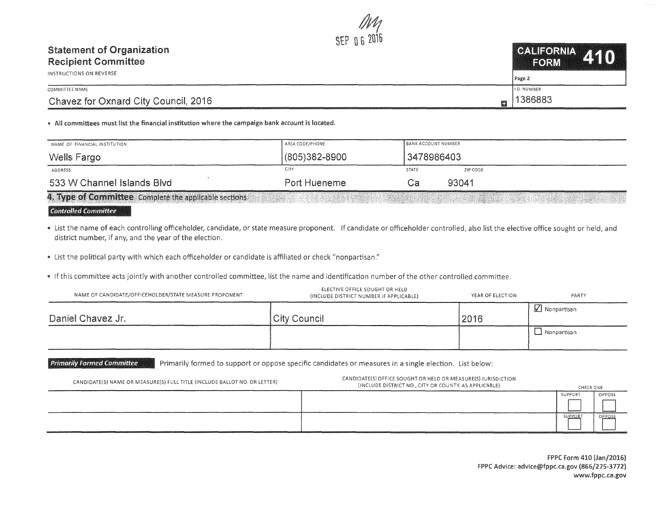## SEP 06 CALIFORNIA 410 **Statement of Organization Recipient Committee FORM INSTRUCTIONS ON REVERSE** Page 2 COMMITTEE NAME **I.D. NUMBER** 1386883 Chavez for Oxnard City Council, 2016 飅

## . All committees must list the financial institution where the campaign bank account is located.

| NAME OF FINANCIAL INSTITUTION                          | AREA CODE/PHONE | BANK ACCOUNT NUMBER |          |
|--------------------------------------------------------|-----------------|---------------------|----------|
| Wells Fargo                                            | (805)382-8900   | 3478986403          |          |
| ADDRESS                                                | <b>CITY</b>     | <b>STATE</b>        | ZIP CODE |
| 533 W Channel Islands Blvd                             | Port Hueneme    | . a                 | 93041    |
| 4. Type of Committee Complete the applicable sections. |                 |                     |          |

## **Controlled Committee**

- List the name of each controlling officeholder, candidate, or state measure proponent. If candidate or officeholder controlled, also list the elective office sought or held, and district number, if any, and the year of the election.
- List the political party with which each officeholder or candidate is affiliated or check "nonpartisan."
- . If this committee acts jointly with another controlled committee, list the name and identification number of the other controlled committee.

| NAME OF CANDIDATE/OFFICEHOLDER/STATE MEASURE PROPONENT | ELECTIVE OFFICE SOUGHT OR HELD<br>(INCLUDE DISTRICT NUMBER IF APPLICABLE) | YEAR OF ELECTION | PARTY                    |
|--------------------------------------------------------|---------------------------------------------------------------------------|------------------|--------------------------|
| Daniel Chavez Jr.                                      | City Council                                                              | 2016             | $\mathsf{M}$ Nonpartisan |
|                                                        |                                                                           |                  | 1 Nonpartisan            |

**Primarily Formed Committee** Primarily formed to support or oppose specific candidates or measures in a single election. List below:

| CANDIDATE(S) NAME OR MEASURE(S) FULL TITLE (INCLUDE BALLOT NO. OR LETTER) | CANDIDATE(S) OFFICE SOUGHT OR HELD OR MEASURE(S) JURISDICTION<br>(INCLUDE DISTRICT NO., CITY OR COUNTY, AS APPLICABLE) | CHECK ONE                                                                                                                                                                                                                                 |        |
|---------------------------------------------------------------------------|------------------------------------------------------------------------------------------------------------------------|-------------------------------------------------------------------------------------------------------------------------------------------------------------------------------------------------------------------------------------------|--------|
|                                                                           |                                                                                                                        | SUPPORT                                                                                                                                                                                                                                   | OPPOSE |
|                                                                           |                                                                                                                        |                                                                                                                                                                                                                                           |        |
|                                                                           |                                                                                                                        | SUPPORT<br>and the company of the contract of the contract of the contract of the contract of the contract of the contract of the contract of the contract of the contract of the contract of the contract of the contract of the contrac | OPPOSE |
|                                                                           |                                                                                                                        |                                                                                                                                                                                                                                           |        |

FPPC Form 410 (Jan/2016) FPPC Advice: advice@fppc.ca.gov (866/275-3772) www.fppc.ca.gov